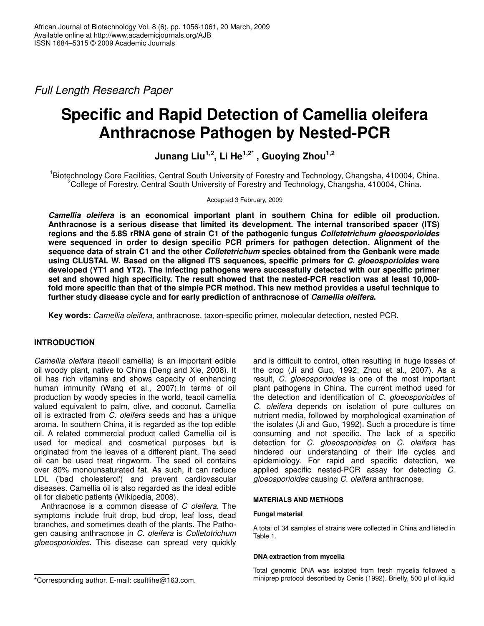*Full Length Research Paper*

# **Specific and Rapid Detection of Camellia oleifera Anthracnose Pathogen by Nested-PCR**

**Junang Liu 1,2 , Li He 1,2\* , Guoying Zhou 1,2**

<sup>1</sup>Biotechnology Core Facilities, Central South University of Forestry and Technology, Changsha, 410004, China. <sup>2</sup>College of Forestry, Central South University of Forestry and Technology, Changsha, 410004, China.

Accepted 3 February, 2009

*Camellia oleifera* **is an economical important plant in southern China for edible oil production. Anthracnose is a serious disease that limited its development. The internal transcribed spacer (ITS) regions and the 5.8S rRNA gene of strain C1 of the pathogenic fungus** *Colletetrichum gloeosporioides* **were sequenced in order to design specific PCR primers for pathogen detection. Alignment of the sequence data of strain C1 and the other** *Colletetrichum* **species obtained from the Genbank were made using CLUSTAL W. Based on the aligned ITS sequences, specific primers for** *C. gloeosporioides* **were developed (YT1 and YT2). The infecting pathogens were successfully detected with our specific primer set and showed high specificity. The result showed that the nested-PCR reaction was at least 10,000** fold more specific than that of the simple PCR method. This new method provides a useful technique to **further study disease cycle and for early prediction of anthracnose of** *Camellia oleifera***.**

**Key words:** *Camellia oleifera*, anthracnose, taxon-specific primer, molecular detection, nested PCR.

# **INTRODUCTION**

*Camellia oleifera* (teaoil camellia) is an important edible oil woody plant, native to China (Deng and Xie, 2008). It oil has rich vitamins and shows capacity of enhancing human immunity (Wang et al., 2007). In terms of oil production by woody species in the world, teaoil camellia valued equivalent to palm, olive, and coconut. Camellia oil is extracted from *C. oleifera* seeds and has a unique aroma. In southern China, it is regarded as the top edible oil. A related commercial product called Camellia oil is used for medical and cosmetical purposes but is originated from the leaves of a different plant. The seed oil can be used treat ringworm. The seed oil contains over 80% monounsaturated fat. As such, it can reduce LDL ('bad cholesterol') and prevent cardiovascular diseases. Camellia oil is also regarded as the ideal edible oil for diabetic patients (Wikipedia, 2008).

Anthracnose is a common disease of *C oleifera.* The symptoms include fruit drop, bud drop, leaf loss, dead branches, and sometimes death of the plants. The Pathogen causing anthracnose in *C. oleifera* is *Colletotrichum gloeosporioides*. This disease can spread very quickly

and is difficult to control, often resulting in huge losses of the crop (Ji and Guo, 1992; Zhou et al., 2007). As a result, *C. gloeosporioides* is one of the most important plant pathogens in China. The current method used for the detection and identification of *C. gloeosporioides* of *C. oleifera* depends on isolation of pure cultures on nutrient media, followed by morphological examination of the isolates (Ji and Guo, 1992). Such a procedure is time consuming and not specific. The lack of a specific detection for *C. gloeosporioides* on *C. oleifera* has hindered our understanding of their life cycles and epidemiology. For rapid and specific detection, we applied specific nested-PCR assay for detecting *C. gloeosporioides* causing *C. oleifera* anthracnose.

#### **MATERIALS AND METHODS**

#### **Fungal material**

A total of 34 samples of strains were collected in China and listed in Table 1.

#### **DNA extraction from mycelia**

Total genomic DNA was isolated from fresh mycelia followed a miniprep protocol described by Cenis (1992). Briefly, 500 µl of liquid

**<sup>\*</sup>**Corresponding author. E-mail: csuftlihe@163.com.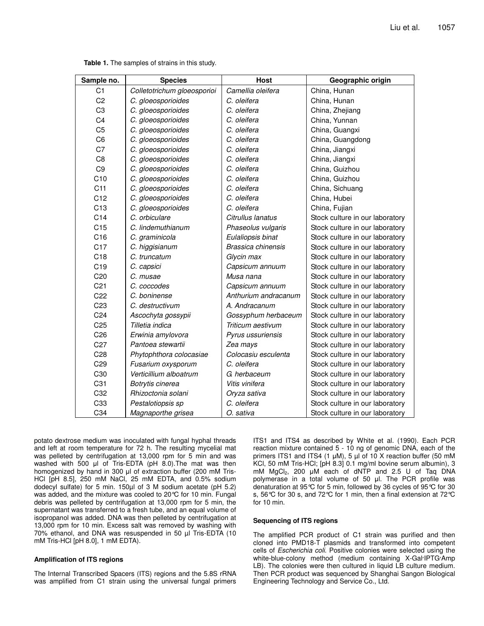| Sample no.      | <b>Species</b>              | <b>Host</b>          | Geographic origin               |
|-----------------|-----------------------------|----------------------|---------------------------------|
| C <sub>1</sub>  | Colletotrichum gloeosporioi | Camellia oleifera    | China, Hunan                    |
| C <sub>2</sub>  | C. gloeosporioides          | C. oleifera          | China, Hunan                    |
| C <sub>3</sub>  | C. gloeosporioides          | C. oleifera          | China, Zhejiang                 |
| C <sub>4</sub>  | C. gloeosporioides          | C. oleifera          | China, Yunnan                   |
| C <sub>5</sub>  | C. gloeosporioides          | C. oleifera          | China, Guangxi                  |
| C <sub>6</sub>  | C. gloeosporioides          | C. oleifera          | China, Guangdong                |
| C <sub>7</sub>  | C. gloeosporioides          | C. oleifera          | China, Jiangxi                  |
| C <sub>8</sub>  | C. gloeosporioides          | C. oleifera          | China, Jiangxi                  |
| C <sub>9</sub>  | C. gloeosporioides          | C. oleifera          | China, Guizhou                  |
| C10             | C. gloeosporioides          | C. oleifera          | China, Guizhou                  |
| C <sub>11</sub> | C. gloeosporioides          | C. oleifera          | China, Sichuang                 |
| C12             | C. gloeosporioides          | C. oleifera          | China, Hubei                    |
| C13             | C. gloeosporioides          | C. oleifera          | China, Fujian                   |
| C14             | C. orbiculare               | Citrullus lanatus    | Stock culture in our laboratory |
| C15             | C. lindemuthianum           | Phaseolus vulgaris   | Stock culture in our laboratory |
| C <sub>16</sub> | C. graminicola              | Eulaliopsis binat    | Stock culture in our laboratory |
| C <sub>17</sub> | C. higgisianum              | Brassica chinensis   | Stock culture in our laboratory |
| C18             | C. truncatum                | Glycin max           | Stock culture in our laboratory |
| C <sub>19</sub> | C. capsici                  | Capsicum annuum      | Stock culture in our laboratory |
| C <sub>20</sub> | C. musae                    | Musa nana            | Stock culture in our laboratory |
| C <sub>21</sub> | C. coccodes                 | Capsicum annuum      | Stock culture in our laboratory |
| C <sub>22</sub> | C. boninense                | Anthurium andracanum | Stock culture in our laboratory |
| C <sub>23</sub> | C. destructivum             | A. Andracanum        | Stock culture in our laboratory |
| C <sub>24</sub> | Ascochyta gossypii          | Gossyphum herbaceum  | Stock culture in our laboratory |
| C <sub>25</sub> | Tilletia indica             | Triticum aestivum    | Stock culture in our laboratory |
| C <sub>26</sub> | Erwinia amylovora           | Pyrus ussuriensis    | Stock culture in our laboratory |
| C <sub>27</sub> | Pantoea stewartii           | Zea mays             | Stock culture in our laboratory |
| C <sub>28</sub> | Phytophthora colocasiae     | Colocasiu esculenta  | Stock culture in our laboratory |
| C <sub>29</sub> | Fusarium oxysporum          | C. oleifera          | Stock culture in our laboratory |
| C30             | Verticillium alboatrum      | G. herbaceum         | Stock culture in our laboratory |
| C31             | Botrytis cinerea            | Vitis vinifera       | Stock culture in our laboratory |
| C32             | Rhizoctonia solani          | Oryza sativa         | Stock culture in our laboratory |
| C33             | Pestalotiopsis sp           | C. oleifera          | Stock culture in our laboratory |
| C34             | Magnaporthe grisea          | O. sativa            | Stock culture in our laboratory |

**Table 1.** The samples of strains in this study.

potato dextrose medium was inoculated with fungal hyphal threads and left at room temperature for 72 h. The resulting mycelial mat was pelleted by centrifugation at 13,000 rpm for 5 min and was washed with 500  $\mu$ l of Tris-EDTA (pH 8.0). The mat was then homogenized by hand in 300 µl of extraction buffer (200 mM Tris-HCl [pH 8.5], 250 mM NaCl, 25 mM EDTA, and 0.5% sodium dodecyl sulfate) for 5 min. 150µl of 3 M sodium acetate (pH 5.2) was added, and the mixture was cooled to 20°C for 10 min. Fungal debris was pelleted by centrifugation at 13,000 rpm for 5 min, the supernatant was transferred to a fresh tube, and an equal volume of isopropanol was added. DNA was then pelleted by centrifugation at 13,000 rpm for 10 min. Excess salt was removed by washing with 70% ethanol, and DNA was resuspended in 50 µl Tris-EDTA (10 mM Tris-HCl [pH 8.0], 1 mM EDTA).

#### **Amplification of ITS regions**

The Internal Transcribed Spacers (ITS) regions and the 5.8S rRNA was amplified from C1 strain using the universal fungal primers ITS1 and ITS4 as described by White et al. (1990). Each PCR reaction mixture contained 5 - 10 ng of genomic DNA, each of the primers ITS1 and ITS4 (1 µM), 5 µl of 10 X reaction buffer (50 mM KCl, 50 mM Tris-HCl; [pH 8.3] 0.1 mg/ml bovine serum albumin), 3 mM  $MgCl<sub>2</sub>$ , 200 µM each of dNTP and 2.5 U of Taq DNA polymerase in a total volume of 50 ul. The PCR profile was denaturation at 95°C for 5 min, followed by 36 cycles of 95°C for 30 s, 56°C for 30 s, and 72°C for 1 min, then a final extension at 72°C for 10 min.

#### **Sequencing of ITS regions**

The amplified PCR product of C1 strain was purified and then cloned into PMD18-T plasmids and transformed into competent cells of *Escherichia coli*. Positive colonies were selected using the white-blue-colony method (medium containing X-Gal-IPTG-Amp LB). The colonies were then cultured in liquid LB culture medium. Then PCR product was sequenced by Shanghai Sangon Biological Engineering Technology and Service Co., Ltd.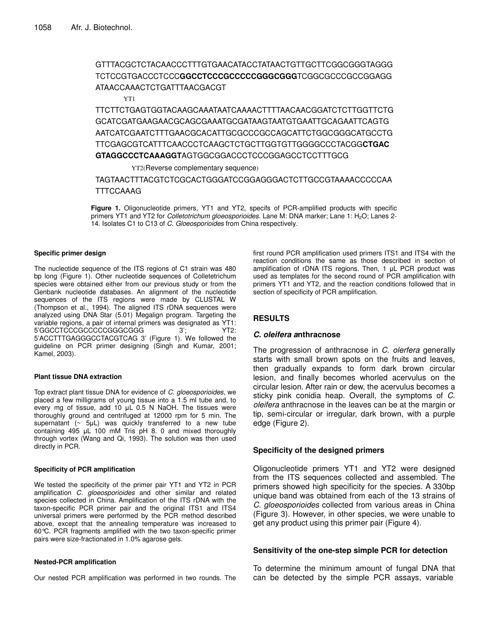# GTTTACGCTCTACAACCCTTTGTGAACATACCTATAACTGTTGCTTCGGCGGGTAGGG TCTCCGTGACCCTCCC**GGCCTCCCGCCCCCGGGCGGG**TCGGCGCCCGCCGGAGG ATAACCAAACTCTGATTTAACGACGT

YT1

TTCTTCTGAGTGGTACAAGCAAATAATCAAAACTTTTAACAACGGATCTCTTGGTTCTG GCATCGATGAAGAACGCAGCGAAATGCGATAAGTAATGTGAATTGCAGAATTCAGTG AATCATCGAATCTTTGAACGCACATTGCGCCCGCCAGCATTCTGGCGGGCATGCCTG TTCGAGCGTCATTTCAACCCTCAAGCTCTGCTTGGTGTTGGGGCCCTACGG**CTGAC GTAGGCCCTCAAAGGT**AGTGGCGGACCCTCCCGGAGCCTCCTTTGCG

YT2(Reverse complementary sequence)

TAGTAACTTTACGTCTCGCACTGGGATCCGGAGGGACTCTTGCCGTAAAACCCCCAA **TTTCCAAAG** 

**Figure 1.** Oligonucleotide primers, YT1 and YT2, specifs of PCR-amplified products with specific primers YT1 and YT2 for *Colletotrichum gloeosporioides*. Lane M: DNA marker; Lane 1: H<sub>2</sub>O; Lanes 2-14. Isolates C1 to C13 of *C. Gloeosporioides* from China respectively.

#### **Specific primer design**

The nucleotide sequence of the ITS regions of C1 strain was 480 bp long (Figure 1). Other nucleotide sequences of Colletetrichum species were obtained either from our previous study or from the Genbank nucleotide databases. An alignment of the nucleotide sequences of the ITS regions were made by CLUSTAL W (Thompson et al., 1994). The aligned ITS rDNA sequences were analyzed using DNA Star (5.01) Megalign program. Targeting the variable regions, a pair of internal primers was designated as YT1:<br>5'GGCCTCCCGCCCCCGGGCGGG 3': YT2: 5'GGCCTCCCGCCCCCGGGCGGG 5'ACCTTTGAGGGCCTACGTCAG 3' (Figure 1). We followed the guideline on PCR primer designing (Singh and Kumar, 2001; Kamel, 2003).

#### **Plant tissue DNA extraction**

Top extract plant tissue DNA for evidence of *C. gloeosporioides*, we placed a few milligrams of young tissue into a 1.5 ml tube and, to every mg of tissue, add 10  $\mu$ L 0.5 N NaOH. The tissues were thoroughly ground and centrifuged at 12000 rpm for 5 min. The supernatant  $($   $\sim$  5 $\mu$ L) was quickly transferred to a new tube containing  $495$   $\mu$ L 100 mM Tris  $pH$  8. 0 and mixed thoroughly through vortex (Wang and Qi, 1993). The solution was then used directly in PCR.

#### **Specificity of PCR amplification**

We tested the specificity of the primer pair YT1 and YT2 in PCR amplification *C. gloeosporioides* and other similar and related species collected in China. Amplification of the ITS rDNA with the taxon-specific PCR primer pair and the original ITS1 and ITS4 universal primers were performed by the PCR method described above, except that the annealing temperature was increased to 60°C. PCR fragments amplified with the two taxon-specific primer pairs were size-fractionated in 1.0% agarose gels.

#### **Nested-PCR amplification**

Our nested PCR amplification was performed in two rounds. The

first round PCR amplification used primers ITS1 and ITS4 with the reaction conditions the same as those described in section of amplification of rDNA ITS regions. Then, 1 µL PCR product was used as templates for the second round of PCR amplification with primers YT1 and YT2, and the reaction conditions followed that in section of specificity of PCR amplification.

# **RESULTS**

#### *C. oleifera a***nthracnose**

The progression of anthracnose in *C. olerfera* generally starts with small brown spots on the fruits and leaves, then gradually expands to form dark brown circular lesion, and finally becomes whorled acervulus on the circular lesion. After rain or dew, the acervulus becomes a sticky pink conidia heap. Overall, the symptoms of *C. oleifera* anthracnose in the leaves can be at the margin or tip, semi-circular or irregular, dark brown, with a purple edge (Figure 2).

# **Specificity of the designed primers**

Oligonucleotide primers YT1 and YT2 were designed from the ITS sequences collected and assembled. The primers showed high specificity for the species. A 330bp unique band was obtained from each of the 13 strains of *C. gloeosporioides* collected from various areas in China (Figure 3). However, in other species, we were unable to get any product using this primer pair (Figure 4).

# **Sensitivity of the one-step simple PCR for detection**

To determine the minimum amount of fungal DNA that can be detected by the simple PCR assays, variable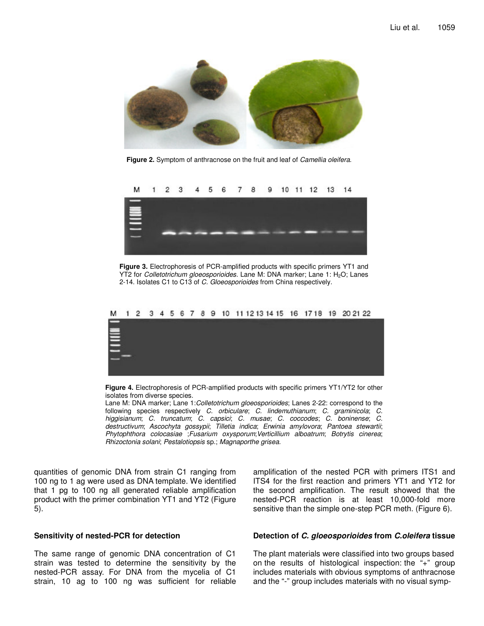

**Figure 2.** Symptom of anthracnose on the fruit and leaf of *Camellia oleifera*.



**Figure 3.** Electrophoresis of PCR-amplified products with specific primers YT1 and YT2 for *Colletotrichum gloeosporioides*. Lane M: DNA marker; Lane 1: H<sub>2</sub>O; Lanes 2-14. Isolates C1 to C13 of *C. Gloeosporioides* from China respectively.



**Figure 4.** Electrophoresis of PCR-amplified products with specific primers YT1/YT2 for other isolates from diverse species.

Lane M: DNA marker; Lane 1:*Colletotrichum gloeosporioides*; Lanes 2-22: correspond to the following species respectively *C. orbiculare*; *C. lindemuthianum*; *C. graminicola*; *C. higgisianum*; *C. truncatum*; *C. capsici*; *C. musae*; *C. coccodes*; *C. boninense*; *C. destructivum*; *Ascochyta gossypii*; *Tilletia indica*; *Erwinia amylovora*; *Pantoea stewartii*; *Phytophthora colocasiae* ;*Fusarium oxysporum*;*Verticillium alboatrum*; *Botrytis cinerea*; *Rhizoctonia solani*; *Pestalotiopsis* sp.; *Magnaporthe grisea.*

quantities of genomic DNA from strain C1 ranging from 100 ng to 1 ag were used as DNA template. We identified that 1 pg to 100 ng all generated reliable amplification product with the primer combination YT1 and YT2 (Figure 5).

#### **Sensitivity of nested-PCR for detection**

The same range of genomic DNA concentration of C1 strain was tested to determine the sensitivity by the nested-PCR assay. For DNA from the mycelia of C1 strain, 10 ag to 100 ng was sufficient for reliable

amplification of the nested PCR with primers ITS1 and ITS4 for the first reaction and primers YT1 and YT2 for the second amplification. The result showed that the nested-PCR reaction is at least 10,000-fold more sensitive than the simple one-step PCR meth. (Figure 6).

#### **Detection of** *C. gloeosporioides* **from** *C.oleifera* **tissue**

The plant materials were classified into two groups based on the results of histological inspection: the "+" group includes materials with obvious symptoms of anthracnose and the "-" group includes materials with no visual symp-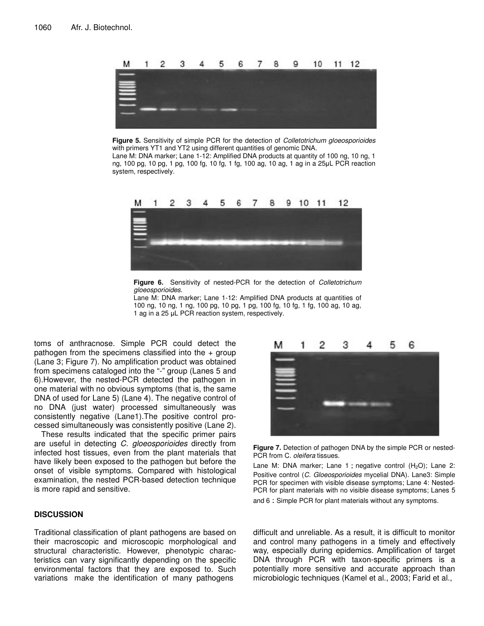

**Figure 5.** Sensitivity of simple PCR for the detection of *Colletotrichum gloeosporioides* with primers YT1 and YT2 using different quantities of genomic DNA.

Lane M: DNA marker; Lane 1-12: Amplified DNA products at quantity of 100 ng, 10 ng, 1 ng, 100 pg, 10 pg, 1 pg, 100 fg, 10 fg, 1 fg, 100 ag, 10 ag, 1 ag in a 25µL PCR reaction system, respectively.



**Figure 6.** Sensitivity of nested-PCR for the detection of *Colletotrichum gloeosporioides*.

Lane M: DNA marker; Lane 1-12: Amplified DNA products at quantities of 100 ng, 10 ng, 1 ng, 100 pg, 10 pg, 1 pg, 100 fg, 10 fg, 1 fg, 100 ag, 10 ag, 1 ag in a 25 µL PCR reaction system, respectively.

toms of anthracnose. Simple PCR could detect the pathogen from the specimens classified into the  $+$  group (Lane 3; Figure 7). No amplification product was obtained from specimens cataloged into the "-" group (Lanes 5 and 6).However, the nested-PCR detected the pathogen in one material with no obvious symptoms (that is, the same DNA of used for Lane 5) (Lane 4). The negative control of no DNA (just water) processed simultaneously was consistently negative (Lane1).The positive control processed simultaneously was consistently positive (Lane 2).

These results indicated that the specific primer pairs are useful in detecting *C. gloeosporioides* directly from infected host tissues, even from the plant materials that have likely been exposed to the pathogen but before the onset of visible symptoms. Compared with histological examination, the nested PCR-based detection technique is more rapid and sensitive.

# **DISCUSSION**

Traditional classification of plant pathogens are based on their macroscopic and microscopic morphological and structural characteristic. However, phenotypic characteristics can vary significantly depending on the specific environmental factors that they are exposed to. Such variations make the identification of many pathogens



**Figure 7.** Detection of pathogen DNA by the simple PCR or nested-PCR from C. *oleifera* tissues.

Lane M: DNA marker; Lane 1 : negative control (H<sub>2</sub>O); Lane 2: Positive control (*C. Gloeosporioides* mycelial DNA). Lane3: Simple PCR for specimen with visible disease symptoms; Lane 4: Nested-PCR for plant materials with no visible disease symptoms; Lanes 5 and 6 Simple PCR for plant materials without any symptoms.

difficult and unreliable. As a result, it is difficult to monitor and control many pathogens in a timely and effectively way, especially during epidemics. Amplification of target DNA through PCR with taxon-specific primers is a potentially more sensitive and accurate approach than microbiologic techniques (Kamel et al., 2003; Farid et al.,